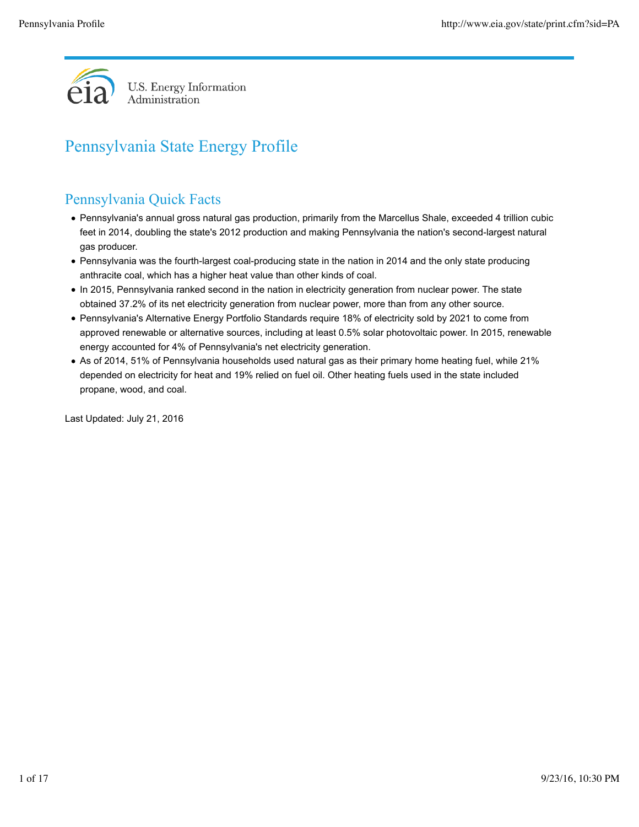

# Pennsylvania State Energy Profile

# Pennsylvania Quick Facts

- Pennsylvania's annual gross natural gas production, primarily from the Marcellus Shale, exceeded 4 trillion cubic feet in 2014, doubling the state's 2012 production and making Pennsylvania the nation's second-largest natural gas producer.
- Pennsylvania was the fourth-largest coal-producing state in the nation in 2014 and the only state producing anthracite coal, which has a higher heat value than other kinds of coal.
- In 2015, Pennsylvania ranked second in the nation in electricity generation from nuclear power. The state obtained 37.2% of its net electricity generation from nuclear power, more than from any other source.
- Pennsylvania's Alternative Energy Portfolio Standards require 18% of electricity sold by 2021 to come from approved renewable or alternative sources, including at least 0.5% solar photovoltaic power. In 2015, renewable energy accounted for 4% of Pennsylvania's net electricity generation.
- As of 2014, 51% of Pennsylvania households used natural gas as their primary home heating fuel, while 21% depended on electricity for heat and 19% relied on fuel oil. Other heating fuels used in the state included propane, wood, and coal.

Last Updated: July 21, 2016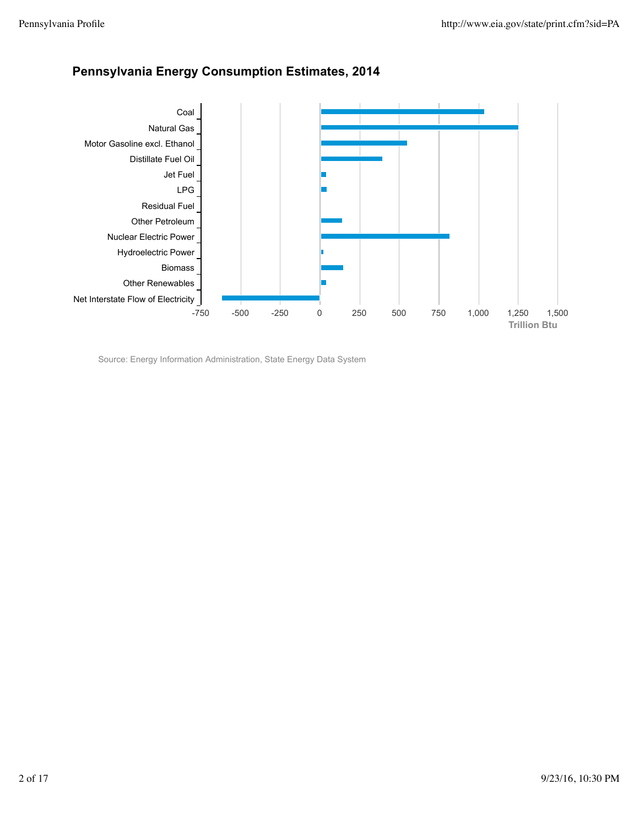

## **Pennsylvania Energy Consumption Estimates, 2014**

Source: Energy Information Administration, State Energy Data System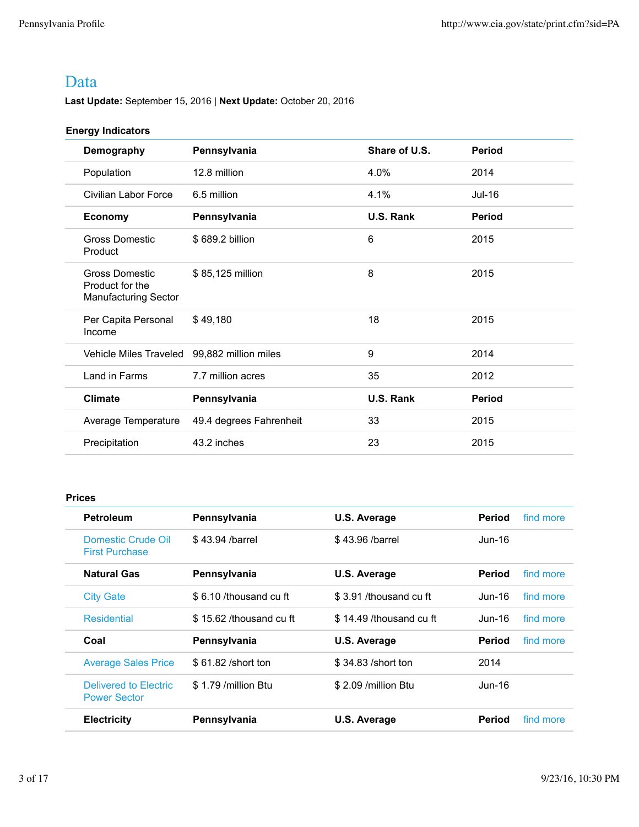## Data

**Last Update:** September 15, 2016 | **Next Update:** October 20, 2016

### **Energy Indicators**

| Demography                                                | Pennsylvania            | Share of U.S.    | <b>Period</b> |
|-----------------------------------------------------------|-------------------------|------------------|---------------|
| Population                                                | 12.8 million            | 4.0%             | 2014          |
| Civilian Labor Force                                      | 6.5 million             | 4.1%             | Jul-16        |
| <b>Economy</b>                                            | Pennsylvania            | U.S. Rank        | <b>Period</b> |
| <b>Gross Domestic</b><br>Product                          | \$689.2 billion         | 6                | 2015          |
| Gross Domestic<br>Product for the<br>Manufacturing Sector | \$85,125 million        | 8                | 2015          |
| Per Capita Personal<br>Income                             | \$49,180                | 18               | 2015          |
| Vehicle Miles Traveled                                    | 99,882 million miles    | 9                | 2014          |
| Land in Farms                                             | 7.7 million acres       | 35               | 2012          |
| <b>Climate</b>                                            | Pennsylvania            | <b>U.S. Rank</b> | <b>Period</b> |
| Average Temperature                                       | 49.4 degrees Fahrenheit | 33               | 2015          |
| Precipitation                                             | 43.2 inches             | 23               | 2015          |

### **Prices**

| <b>Petroleum</b>                             | Pennsylvania            | U.S. Average            | <b>Period</b> | find more |
|----------------------------------------------|-------------------------|-------------------------|---------------|-----------|
| Domestic Crude Oil<br><b>First Purchase</b>  | \$43.94 /barrel         | \$43.96 /barrel         | Jun-16        |           |
| <b>Natural Gas</b>                           | Pennsylvania            | U.S. Average            | Period        | find more |
| <b>City Gate</b>                             | \$6.10 /thousand cu ft  | \$3.91 /thousand cu ft  | Jun-16        | find more |
| Residential                                  | \$15.62 /thousand cu ft | \$14.49 /thousand cu ft | Jun-16.       | find more |
| Coal                                         | Pennsylvania            | U.S. Average            | <b>Period</b> | find more |
| <b>Average Sales Price</b>                   | \$61.82 / short ton     | \$34.83 /short ton      | 2014          |           |
| Delivered to Electric<br><b>Power Sector</b> | \$1.79 / million Btu    | \$2.09 /million Btu     | $Jun-16$      |           |
| <b>Electricity</b>                           | Pennsylvania            | U.S. Average            | <b>Period</b> | find more |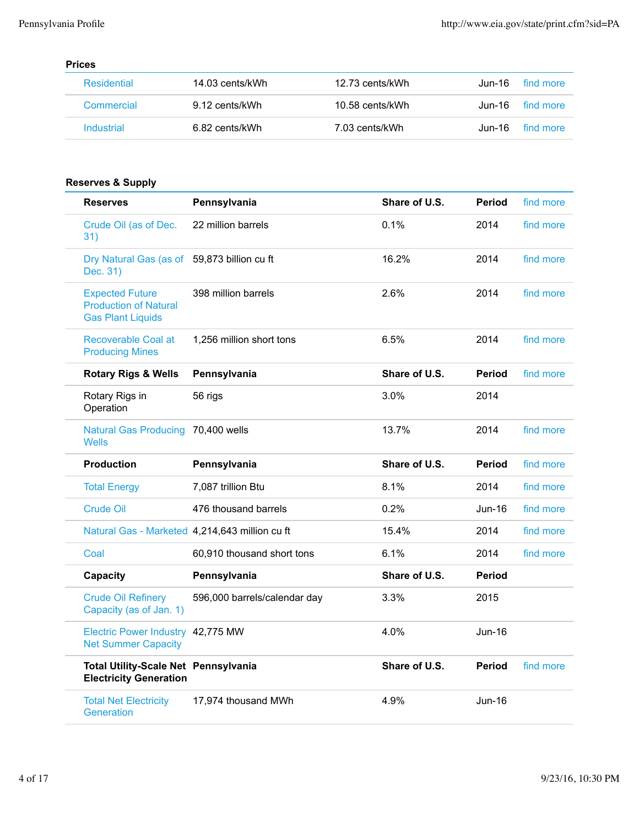### **Prices**

| Residential | 14.03 cents/kWh | 12.73 cents/kWh | find more<br>.Jun-16 |
|-------------|-----------------|-----------------|----------------------|
| Commercial  | 9.12 cents/kWh  | 10.58 cents/kWh | Jun-16 find more     |
| Industrial  | 6.82 cents/kWh  | 7.03 cents/kWh  | find more<br>.Jun-16 |

### **Reserves & Supply**

| <b>Reserves</b>                                                                    | Pennsylvania                 | Share of U.S. | <b>Period</b> | find more |
|------------------------------------------------------------------------------------|------------------------------|---------------|---------------|-----------|
| Crude Oil (as of Dec.<br>31)                                                       | 22 million barrels           | 0.1%          | 2014          | find more |
| Dry Natural Gas (as of<br>Dec. 31)                                                 | 59,873 billion cu ft         | 16.2%         | 2014          | find more |
| <b>Expected Future</b><br><b>Production of Natural</b><br><b>Gas Plant Liquids</b> | 398 million barrels          | 2.6%          | 2014          | find more |
| Recoverable Coal at<br><b>Producing Mines</b>                                      | 1,256 million short tons     | 6.5%          | 2014          | find more |
| <b>Rotary Rigs &amp; Wells</b>                                                     | Pennsylvania                 | Share of U.S. | <b>Period</b> | find more |
| Rotary Rigs in<br>Operation                                                        | 56 rigs                      | 3.0%          | 2014          |           |
| <b>Natural Gas Producing</b><br><b>Wells</b>                                       | 70.400 wells                 | 13.7%         | 2014          | find more |
| <b>Production</b>                                                                  | Pennsylvania                 | Share of U.S. | <b>Period</b> | find more |
|                                                                                    |                              |               |               | find more |
| <b>Total Energy</b>                                                                | 7,087 trillion Btu           | 8.1%          | 2014          |           |
| <b>Crude Oil</b>                                                                   | 476 thousand barrels         | 0.2%          | Jun-16        | find more |
| Natural Gas - Marketed 4,214,643 million cu ft                                     |                              | 15.4%         | 2014          | find more |
| Coal                                                                               | 60,910 thousand short tons   | 6.1%          | 2014          | find more |
| Capacity                                                                           | Pennsylvania                 | Share of U.S. | <b>Period</b> |           |
| <b>Crude Oil Refinery</b><br>Capacity (as of Jan. 1)                               | 596,000 barrels/calendar day | 3.3%          | 2015          |           |
| Electric Power Industry 42,775 MW<br><b>Net Summer Capacity</b>                    |                              | 4.0%          | Jun-16        |           |
| <b>Total Utility-Scale Net Pennsylvania</b><br><b>Electricity Generation</b>       |                              | Share of U.S. | Period        | find more |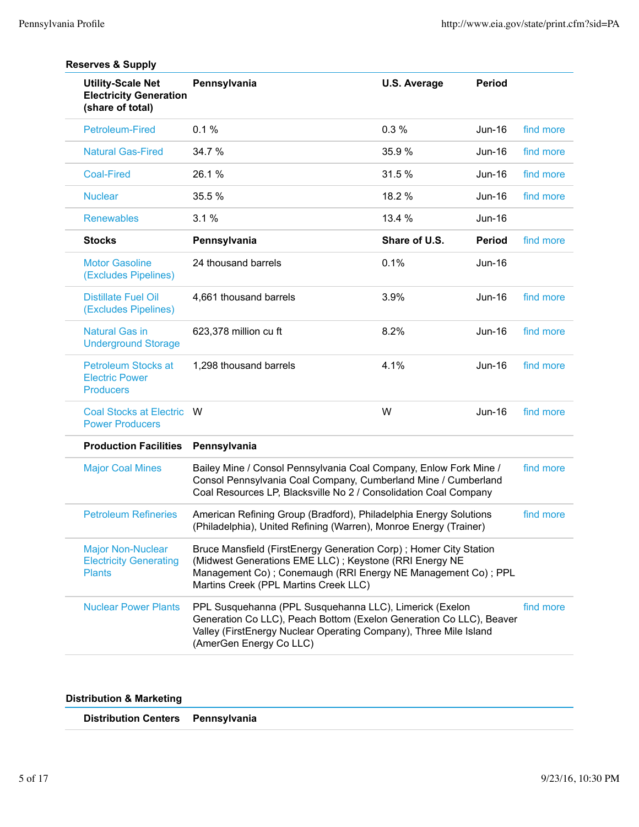| <b>Utility-Scale Net</b><br><b>Electricity Generation</b><br>(share of total) | Pennsylvania                                                                                                                                                                                                                            | <b>U.S. Average</b>                                                                                                                    | <b>Period</b> |           |
|-------------------------------------------------------------------------------|-----------------------------------------------------------------------------------------------------------------------------------------------------------------------------------------------------------------------------------------|----------------------------------------------------------------------------------------------------------------------------------------|---------------|-----------|
| <b>Petroleum-Fired</b>                                                        | 0.1%                                                                                                                                                                                                                                    | 0.3%                                                                                                                                   | Jun-16        | find more |
| <b>Natural Gas-Fired</b>                                                      | 34.7 %                                                                                                                                                                                                                                  | 35.9%                                                                                                                                  | Jun-16        | find more |
| <b>Coal-Fired</b>                                                             | 26.1%                                                                                                                                                                                                                                   | 31.5 %                                                                                                                                 | Jun-16        | find more |
| <b>Nuclear</b>                                                                | 35.5 %                                                                                                                                                                                                                                  | 18.2 %                                                                                                                                 | Jun-16        | find more |
| <b>Renewables</b>                                                             | 3.1%                                                                                                                                                                                                                                    | 13.4 %                                                                                                                                 | $Jun-16$      |           |
| <b>Stocks</b>                                                                 | Pennsylvania                                                                                                                                                                                                                            | Share of U.S.                                                                                                                          | <b>Period</b> | find more |
| <b>Motor Gasoline</b><br>(Excludes Pipelines)                                 | 24 thousand barrels                                                                                                                                                                                                                     | 0.1%                                                                                                                                   | <b>Jun-16</b> |           |
| <b>Distillate Fuel Oil</b><br>(Excludes Pipelines)                            | 4,661 thousand barrels                                                                                                                                                                                                                  | 3.9%                                                                                                                                   | Jun-16        | find more |
| <b>Natural Gas in</b><br><b>Underground Storage</b>                           | 623,378 million cu ft                                                                                                                                                                                                                   | 8.2%                                                                                                                                   | Jun-16        | find more |
| <b>Petroleum Stocks at</b><br><b>Electric Power</b><br><b>Producers</b>       | 1,298 thousand barrels                                                                                                                                                                                                                  | 4.1%                                                                                                                                   | Jun-16        | find more |
| <b>Coal Stocks at Electric</b><br><b>Power Producers</b>                      | W                                                                                                                                                                                                                                       | W                                                                                                                                      | Jun-16        | find more |
| <b>Production Facilities</b>                                                  | Pennsylvania                                                                                                                                                                                                                            |                                                                                                                                        |               |           |
| <b>Major Coal Mines</b>                                                       | Bailey Mine / Consol Pennsylvania Coal Company, Enlow Fork Mine /<br>Consol Pennsylvania Coal Company, Cumberland Mine / Cumberland<br>Coal Resources LP, Blacksville No 2 / Consolidation Coal Company                                 |                                                                                                                                        |               | find more |
| <b>Petroleum Refineries</b>                                                   |                                                                                                                                                                                                                                         | American Refining Group (Bradford), Philadelphia Energy Solutions<br>(Philadelphia), United Refining (Warren), Monroe Energy (Trainer) |               |           |
| <b>Major Non-Nuclear</b><br><b>Electricity Generating</b><br><b>Plants</b>    | Bruce Mansfield (FirstEnergy Generation Corp); Homer City Station<br>(Midwest Generations EME LLC) ; Keystone (RRI Energy NE<br>Management Co) ; Conemaugh (RRI Energy NE Management Co) ; PPL<br>Martins Creek (PPL Martins Creek LLC) |                                                                                                                                        |               |           |
| <b>Nuclear Power Plants</b>                                                   | PPL Susquehanna (PPL Susquehanna LLC), Limerick (Exelon<br>Generation Co LLC), Peach Bottom (Exelon Generation Co LLC), Beaver<br>Valley (FirstEnergy Nuclear Operating Company), Three Mile Island<br>(AmerGen Energy Co LLC)          |                                                                                                                                        |               | find more |

### **Reserves & Supply**

### **Distribution & Marketing**

| Distribution Centers Pennsylvania |  |
|-----------------------------------|--|
|-----------------------------------|--|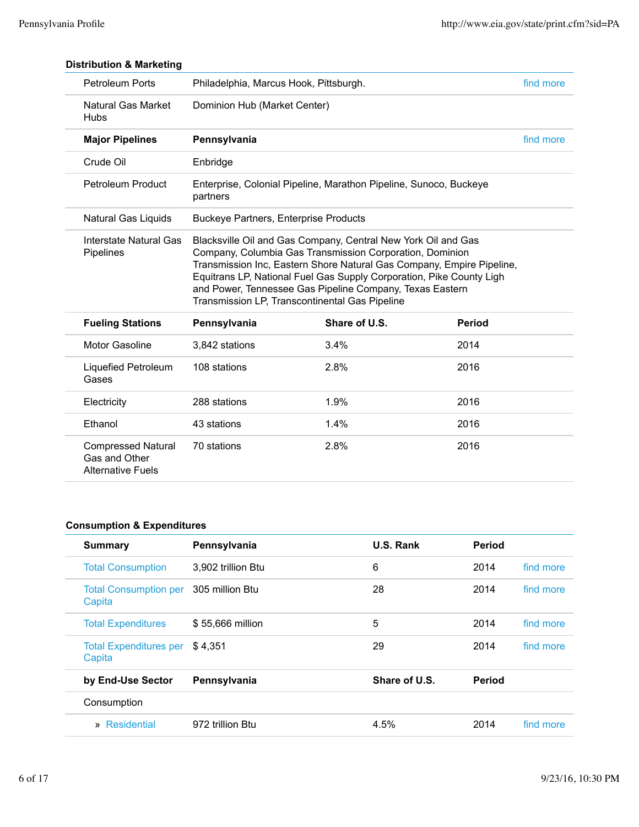| <b>Petroleum Ports</b>                   | Philadelphia, Marcus Hook, Pittsburgh.         |                                                                                                                                                                                                                                                                                                                                        |               | find more |
|------------------------------------------|------------------------------------------------|----------------------------------------------------------------------------------------------------------------------------------------------------------------------------------------------------------------------------------------------------------------------------------------------------------------------------------------|---------------|-----------|
| <b>Natural Gas Market</b><br><b>Hubs</b> | Dominion Hub (Market Center)                   |                                                                                                                                                                                                                                                                                                                                        |               |           |
| <b>Major Pipelines</b>                   | Pennsylvania                                   |                                                                                                                                                                                                                                                                                                                                        |               | find more |
| Crude Oil                                | Enbridge                                       |                                                                                                                                                                                                                                                                                                                                        |               |           |
| <b>Petroleum Product</b>                 | partners                                       | Enterprise, Colonial Pipeline, Marathon Pipeline, Sunoco, Buckeye                                                                                                                                                                                                                                                                      |               |           |
| Natural Gas Liquids                      | <b>Buckeye Partners, Enterprise Products</b>   |                                                                                                                                                                                                                                                                                                                                        |               |           |
| Interstate Natural Gas<br>Pipelines      | Transmission LP, Transcontinental Gas Pipeline | Blacksville Oil and Gas Company, Central New York Oil and Gas<br>Company, Columbia Gas Transmission Corporation, Dominion<br>Transmission Inc, Eastern Shore Natural Gas Company, Empire Pipeline,<br>Equitrans LP, National Fuel Gas Supply Corporation, Pike County Ligh<br>and Power, Tennessee Gas Pipeline Company, Texas Eastern |               |           |
| <b>Fueling Stations</b>                  | Pennsylvania                                   | Share of U.S.                                                                                                                                                                                                                                                                                                                          | <b>Period</b> |           |
| <b>Motor Gasoline</b>                    | 3,842 stations                                 | 3.4%                                                                                                                                                                                                                                                                                                                                   | 2014          |           |
| Liquefied Petroleum<br>Gases             | 108 stations                                   | 2.8%                                                                                                                                                                                                                                                                                                                                   | 2016          |           |
| Electricity                              | 288 stations                                   | 1.9%                                                                                                                                                                                                                                                                                                                                   | 2016          |           |
|                                          |                                                |                                                                                                                                                                                                                                                                                                                                        |               |           |
| Ethanol                                  | 43 stations                                    | 1.4%                                                                                                                                                                                                                                                                                                                                   | 2016          |           |

### **Distribution & Marketing**

### **Consumption & Expenditures**

| <b>Summary</b>                          | Pennsylvania       | U.S. Rank     | <b>Period</b> |           |
|-----------------------------------------|--------------------|---------------|---------------|-----------|
| <b>Total Consumption</b>                | 3.902 trillion Btu | 6             | 2014          | find more |
| <b>Total Consumption per</b><br>Capita  | 305 million Btu    | 28            | 2014          | find more |
| <b>Total Expenditures</b>               | \$55,666 million   | 5             | 2014          | find more |
| <b>Total Expenditures per</b><br>Capita | \$4.351            | 29            | 2014          | find more |
| by End-Use Sector                       | Pennsylvania       | Share of U.S. | Period        |           |
| Consumption                             |                    |               |               |           |
| » Residential                           | 972 trillion Btu   | 4.5%          | 2014          | find more |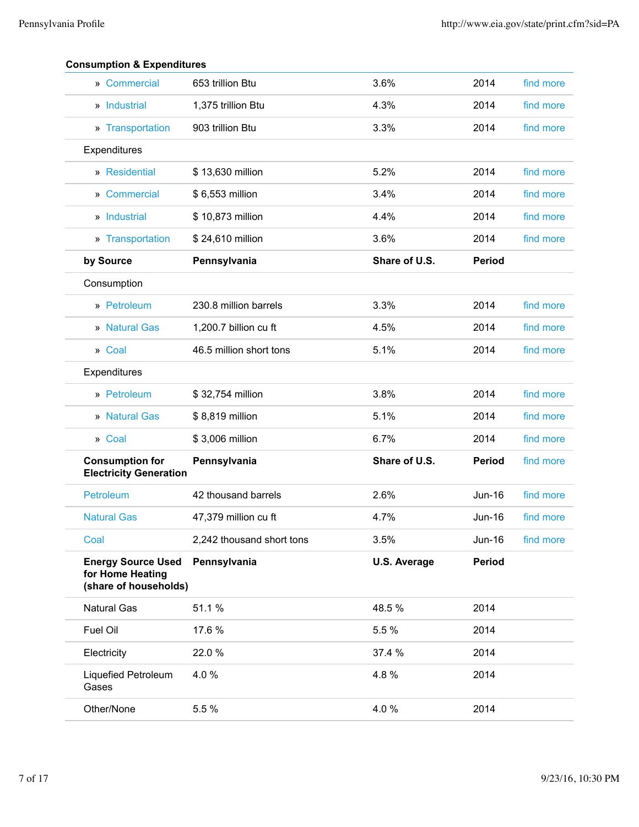| » Commercial                                                           | 653 trillion Btu          | 3.6%                | 2014          | find more |
|------------------------------------------------------------------------|---------------------------|---------------------|---------------|-----------|
| » Industrial                                                           | 1,375 trillion Btu        | 4.3%                | 2014          | find more |
| » Transportation                                                       | 903 trillion Btu          | 3.3%                | 2014          | find more |
| Expenditures                                                           |                           |                     |               |           |
| » Residential                                                          | \$13,630 million          | 5.2%                | 2014          | find more |
| » Commercial                                                           | \$6,553 million           | 3.4%                | 2014          | find more |
| » Industrial                                                           | \$10,873 million          | 4.4%                | 2014          | find more |
| » Transportation                                                       | \$24,610 million          | 3.6%                | 2014          | find more |
| by Source                                                              | Pennsylvania              | Share of U.S.       | <b>Period</b> |           |
| Consumption                                                            |                           |                     |               |           |
| » Petroleum                                                            | 230.8 million barrels     | 3.3%                | 2014          | find more |
| » Natural Gas                                                          | 1,200.7 billion cu ft     | 4.5%                | 2014          | find more |
| » Coal                                                                 | 46.5 million short tons   | 5.1%                | 2014          | find more |
| Expenditures                                                           |                           |                     |               |           |
| » Petroleum                                                            | \$32,754 million          | 3.8%                | 2014          | find more |
|                                                                        |                           |                     |               |           |
| » Natural Gas                                                          | \$8,819 million           | 5.1%                | 2014          | find more |
| » Coal                                                                 | \$3,006 million           | 6.7%                | 2014          | find more |
| <b>Consumption for</b><br><b>Electricity Generation</b>                | Pennsylvania              | Share of U.S.       | <b>Period</b> | find more |
| Petroleum                                                              | 42 thousand barrels       | 2.6%                | Jun-16        | find more |
| <b>Natural Gas</b>                                                     | 47,379 million cu ft      | 4.7%                | Jun-16        | find more |
| Coal                                                                   | 2,242 thousand short tons | 3.5%                | Jun-16        | find more |
| <b>Energy Source Used</b><br>for Home Heating<br>(share of households) | Pennsylvania              | <b>U.S. Average</b> | <b>Period</b> |           |
| <b>Natural Gas</b>                                                     | 51.1%                     | 48.5 %              | 2014          |           |
| Fuel Oil                                                               | 17.6 %                    | 5.5 %               | 2014          |           |
| Electricity                                                            | 22.0 %                    | 37.4 %              | 2014          |           |
| Liquefied Petroleum<br>Gases                                           | 4.0%                      | 4.8%                | 2014          |           |
| Other/None                                                             | 5.5 %                     | 4.0%                | 2014          |           |

### **Consumption & Expenditures**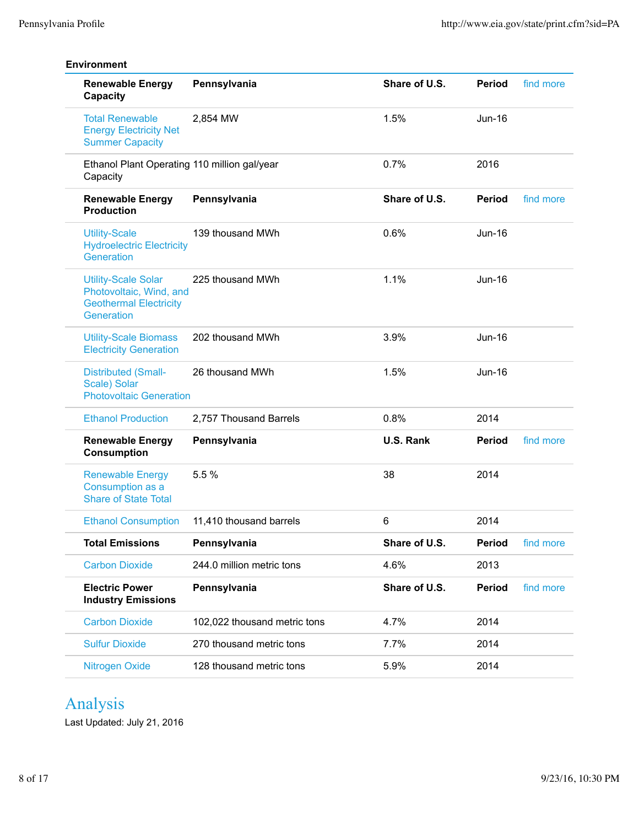| <b>Renewable Energy</b><br>Capacity                                                                  | Pennsylvania                 | Share of U.S. | <b>Period</b> | find more |
|------------------------------------------------------------------------------------------------------|------------------------------|---------------|---------------|-----------|
| <b>Total Renewable</b><br><b>Energy Electricity Net</b><br><b>Summer Capacity</b>                    | 2,854 MW                     | 1.5%          | $Jun-16$      |           |
| Ethanol Plant Operating 110 million gal/year<br>Capacity                                             |                              | 0.7%          | 2016          |           |
| <b>Renewable Energy</b><br><b>Production</b>                                                         | Pennsylvania                 | Share of U.S. | <b>Period</b> | find more |
| <b>Utility-Scale</b><br><b>Hydroelectric Electricity</b><br>Generation                               | 139 thousand MWh             | 0.6%          | $Jun-16$      |           |
| <b>Utility-Scale Solar</b><br>Photovoltaic, Wind, and<br><b>Geothermal Electricity</b><br>Generation | 225 thousand MWh             | 1.1%          | $Jun-16$      |           |
| <b>Utility-Scale Biomass</b><br><b>Electricity Generation</b>                                        | 202 thousand MWh             | 3.9%          | $Jun-16$      |           |
| <b>Distributed (Small-</b><br>Scale) Solar<br><b>Photovoltaic Generation</b>                         | 26 thousand MWh              | 1.5%          | Jun-16        |           |
| <b>Ethanol Production</b>                                                                            | 2,757 Thousand Barrels       | 0.8%          | 2014          |           |
| <b>Renewable Energy</b><br><b>Consumption</b>                                                        | Pennsylvania                 | U.S. Rank     | <b>Period</b> | find more |
| <b>Renewable Energy</b><br>Consumption as a<br><b>Share of State Total</b>                           | 5.5 %                        | 38            | 2014          |           |
| <b>Ethanol Consumption</b>                                                                           | 11.410 thousand barrels      | 6             | 2014          |           |
| <b>Total Emissions</b>                                                                               | Pennsylvania                 | Share of U.S. | <b>Period</b> | find more |
| <b>Carbon Dioxide</b>                                                                                | 244.0 million metric tons    | 4.6%          | 2013          |           |
| <b>Electric Power</b><br><b>Industry Emissions</b>                                                   | Pennsylvania                 | Share of U.S. | <b>Period</b> | find more |
| <b>Carbon Dioxide</b>                                                                                | 102,022 thousand metric tons | 4.7%          | 2014          |           |
| <b>Sulfur Dioxide</b>                                                                                | 270 thousand metric tons     | 7.7%          | 2014          |           |
| Nitrogen Oxide                                                                                       | 128 thousand metric tons     | 5.9%          | 2014          |           |

# Analysis

Last Updated: July 21, 2016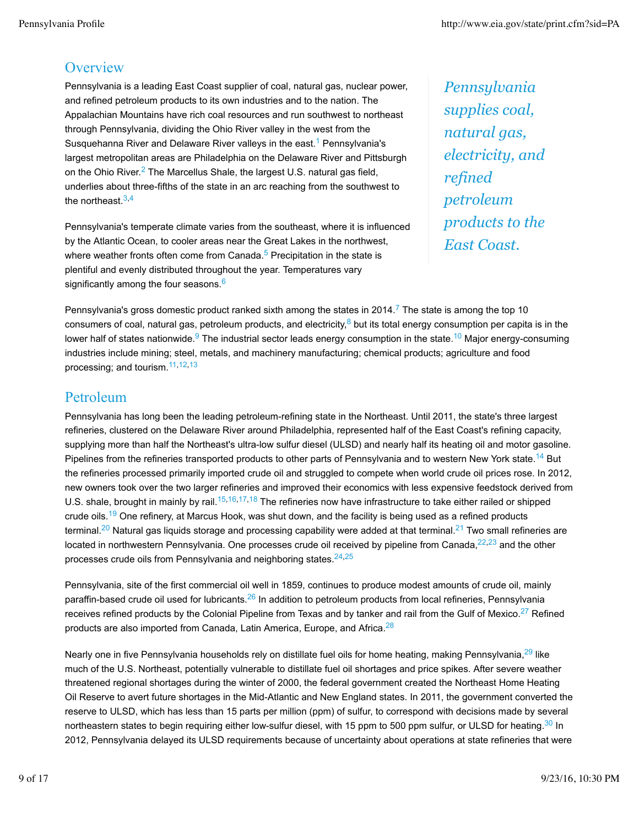## **Overview**

Pennsylvania is a leading East Coast supplier of coal, natural gas, nuclear power, and refined petroleum products to its own industries and to the nation. The Appalachian Mountains have rich coal resources and run southwest to northeast through Pennsylvania, dividing the Ohio River valley in the west from the Susquehanna River and Delaware River valleys in the east.<sup>1</sup> Pennsylvania's largest metropolitan areas are Philadelphia on the Delaware River and Pittsburgh on the Ohio River.<sup>2</sup> The Marcellus Shale, the largest U.S. natural gas field, underlies about three-fifths of the state in an arc reaching from the southwest to the northeast  $3,4$ 

Pennsylvania's temperate climate varies from the southeast, where it is influenced by the Atlantic Ocean, to cooler areas near the Great Lakes in the northwest, where weather fronts often come from Canada. $5$  Precipitation in the state is plentiful and evenly distributed throughout the year. Temperatures vary significantly among the four seasons.<sup>6</sup>

*Pennsylvania supplies coal, natural gas, electricity, and refined petroleum products to the East Coast.*

Pennsylvania's gross domestic product ranked sixth among the states in 2014.<sup>7</sup> The state is among the top 10 consumers of coal, natural gas, petroleum products, and electricity, $8$  but its total energy consumption per capita is in the lower half of states nationwide.<sup>9</sup> The industrial sector leads energy consumption in the state.<sup>10</sup> Major energy-consuming industries include mining; steel, metals, and machinery manufacturing; chemical products; agriculture and food processing; and tourism.11,12,13

## Petroleum

Pennsylvania has long been the leading petroleum-refining state in the Northeast. Until 2011, the state's three largest refineries, clustered on the Delaware River around Philadelphia, represented half of the East Coast's refining capacity, supplying more than half the Northeast's ultra-low sulfur diesel (ULSD) and nearly half its heating oil and motor gasoline. Pipelines from the refineries transported products to other parts of Pennsylvania and to western New York state.<sup>14</sup> But the refineries processed primarily imported crude oil and struggled to compete when world crude oil prices rose. In 2012, new owners took over the two larger refineries and improved their economics with less expensive feedstock derived from U.S. shale, brought in mainly by rail.<sup>15,16,17,18</sup> The refineries now have infrastructure to take either railed or shipped crude oils.<sup>19</sup> One refinery, at Marcus Hook, was shut down, and the facility is being used as a refined products terminal.<sup>20</sup> Natural gas liquids storage and processing capability were added at that terminal.<sup>21</sup> Two small refineries are located in northwestern Pennsylvania. One processes crude oil received by pipeline from Canada, $22,23$  and the other processes crude oils from Pennsylvania and neighboring states. $24,25$ 

Pennsylvania, site of the first commercial oil well in 1859, continues to produce modest amounts of crude oil, mainly paraffin-based crude oil used for lubricants.<sup>26</sup> In addition to petroleum products from local refineries, Pennsylvania receives refined products by the Colonial Pipeline from Texas and by tanker and rail from the Gulf of Mexico.<sup>27</sup> Refined products are also imported from Canada, Latin America, Europe, and Africa.<sup>28</sup>

Nearly one in five Pennsylvania households rely on distillate fuel oils for home heating, making Pennsylvania,<sup>29</sup> like much of the U.S. Northeast, potentially vulnerable to distillate fuel oil shortages and price spikes. After severe weather threatened regional shortages during the winter of 2000, the federal government created the Northeast Home Heating Oil Reserve to avert future shortages in the Mid-Atlantic and New England states. In 2011, the government converted the reserve to ULSD, which has less than 15 parts per million (ppm) of sulfur, to correspond with decisions made by several northeastern states to begin requiring either low-sulfur diesel, with 15 ppm to 500 ppm sulfur, or ULSD for heating.<sup>30</sup> In 2012, Pennsylvania delayed its ULSD requirements because of uncertainty about operations at state refineries that were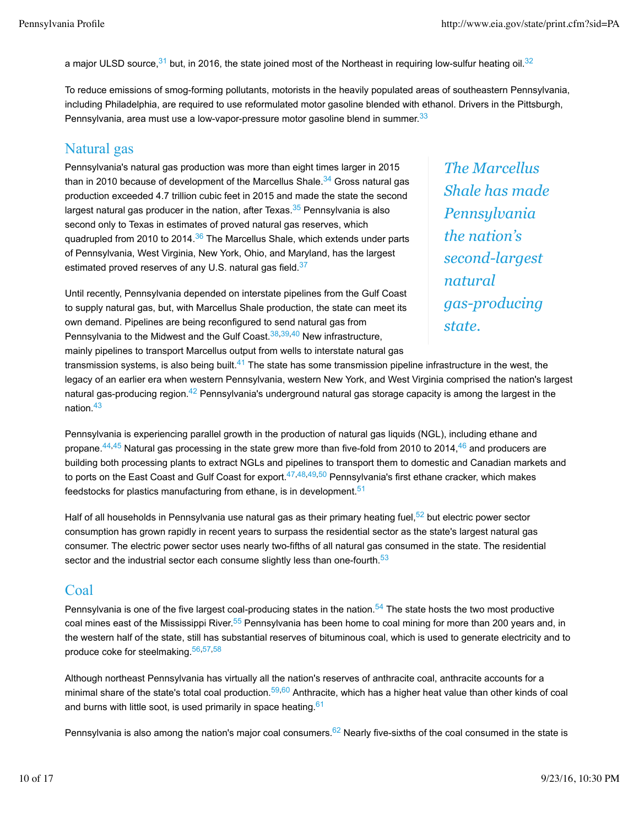a major ULSD source,  $31$  but, in 2016, the state joined most of the Northeast in requiring low-sulfur heating oil.  $32$ 

To reduce emissions of smog-forming pollutants, motorists in the heavily populated areas of southeastern Pennsylvania, including Philadelphia, are required to use reformulated motor gasoline blended with ethanol. Drivers in the Pittsburgh, Pennsylvania, area must use a low-vapor-pressure motor gasoline blend in summer.<sup>33</sup>

## Natural gas

Pennsylvania's natural gas production was more than eight times larger in 2015 than in 2010 because of development of the Marcellus Shale.<sup>34</sup> Gross natural gas production exceeded 4.7 trillion cubic feet in 2015 and made the state the second largest natural gas producer in the nation, after Texas. $35$  Pennsylvania is also second only to Texas in estimates of proved natural gas reserves, which quadrupled from 2010 to 2014. $36$  The Marcellus Shale, which extends under parts of Pennsylvania, West Virginia, New York, Ohio, and Maryland, has the largest estimated proved reserves of any U.S. natural gas field.<sup>37</sup>

Until recently, Pennsylvania depended on interstate pipelines from the Gulf Coast to supply natural gas, but, with Marcellus Shale production, the state can meet its own demand. Pipelines are being reconfigured to send natural gas from Pennsylvania to the Midwest and the Gulf Coast.  $38,39,40$  New infrastructure, mainly pipelines to transport Marcellus output from wells to interstate natural gas

*The Marcellus Shale has made Pennsylvania the nation's second-largest natural gas-producing state.*

transmission systems, is also being built. $41$  The state has some transmission pipeline infrastructure in the west, the legacy of an earlier era when western Pennsylvania, western New York, and West Virginia comprised the nation's largest natural gas-producing region.<sup>42</sup> Pennsylvania's underground natural gas storage capacity is among the largest in the nation.43

Pennsylvania is experiencing parallel growth in the production of natural gas liquids (NGL), including ethane and propane.<sup>44,45</sup> Natural gas processing in the state grew more than five-fold from 2010 to 2014,<sup>46</sup> and producers are building both processing plants to extract NGLs and pipelines to transport them to domestic and Canadian markets and to ports on the East Coast and Gulf Coast for export.<sup>47,48,49,50</sup> Pennsylvania's first ethane cracker, which makes feedstocks for plastics manufacturing from ethane, is in development.<sup>51</sup>

Half of all households in Pennsylvania use natural gas as their primary heating fuel,<sup>52</sup> but electric power sector consumption has grown rapidly in recent years to surpass the residential sector as the state's largest natural gas consumer. The electric power sector uses nearly two-fifths of all natural gas consumed in the state. The residential sector and the industrial sector each consume slightly less than one-fourth.<sup>53</sup>

## Coal

Pennsylvania is one of the five largest coal-producing states in the nation. $54$  The state hosts the two most productive coal mines east of the Mississippi River.<sup>55</sup> Pennsylvania has been home to coal mining for more than 200 years and, in the western half of the state, still has substantial reserves of bituminous coal, which is used to generate electricity and to produce coke for steelmaking.56,57,58

Although northeast Pennsylvania has virtually all the nation's reserves of anthracite coal, anthracite accounts for a minimal share of the state's total coal production.<sup>59,60</sup> Anthracite, which has a higher heat value than other kinds of coal and burns with little soot, is used primarily in space heating.<sup>61</sup>

Pennsylvania is also among the nation's major coal consumers.<sup>62</sup> Nearly five-sixths of the coal consumed in the state is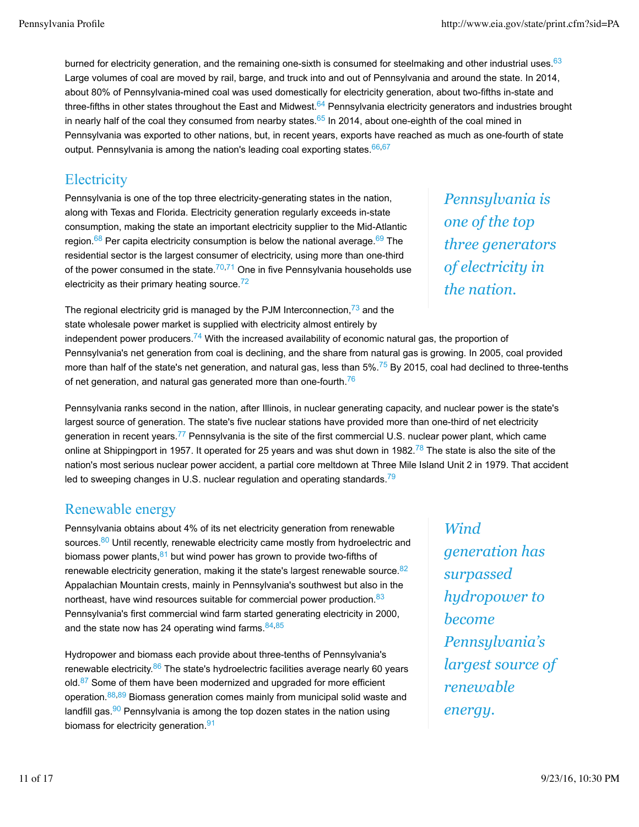burned for electricity generation, and the remaining one-sixth is consumed for steelmaking and other industrial uses.<sup>63</sup> Large volumes of coal are moved by rail, barge, and truck into and out of Pennsylvania and around the state. In 2014, about 80% of Pennsylvania-mined coal was used domestically for electricity generation, about two-fifths in-state and three-fifths in other states throughout the East and Midwest.<sup>64</sup> Pennsylvania electricity generators and industries brought in nearly half of the coal they consumed from nearby states.<sup>65</sup> In 2014, about one-eighth of the coal mined in Pennsylvania was exported to other nations, but, in recent years, exports have reached as much as one-fourth of state output. Pennsylvania is among the nation's leading coal exporting states  $66,67$ 

# **Electricity**

Pennsylvania is one of the top three electricity-generating states in the nation, along with Texas and Florida. Electricity generation regularly exceeds in-state consumption, making the state an important electricity supplier to the Mid-Atlantic region.<sup>68</sup> Per capita electricity consumption is below the national average.<sup>69</sup> The residential sector is the largest consumer of electricity, using more than one-third of the power consumed in the state. $70,71$  One in five Pennsylvania households use electricity as their primary heating source. $72$ 

*Pennsylvania is one of the top three generators of electricity in the nation.*

The regional electricity grid is managed by the PJM Interconnection, $73$  and the state wholesale power market is supplied with electricity almost entirely by

independent power producers.<sup>74</sup> With the increased availability of economic natural gas, the proportion of Pennsylvania's net generation from coal is declining, and the share from natural gas is growing. In 2005, coal provided more than half of the state's net generation, and natural gas, less than 5%.<sup>75</sup> By 2015, coal had declined to three-tenths of net generation, and natural gas generated more than one-fourth.<sup>76</sup>

Pennsylvania ranks second in the nation, after Illinois, in nuclear generating capacity, and nuclear power is the state's largest source of generation. The state's five nuclear stations have provided more than one-third of net electricity generation in recent years.<sup>77</sup> Pennsylvania is the site of the first commercial U.S. nuclear power plant, which came online at Shippingport in 1957. It operated for 25 years and was shut down in 1982.<sup>78</sup> The state is also the site of the nation's most serious nuclear power accident, a partial core meltdown at Three Mile Island Unit 2 in 1979. That accident led to sweeping changes in U.S. nuclear regulation and operating standards.<sup>79</sup>

## Renewable energy

Pennsylvania obtains about 4% of its net electricity generation from renewable sources.<sup>80</sup> Until recently, renewable electricity came mostly from hydroelectric and biomass power plants,  $81$  but wind power has grown to provide two-fifths of renewable electricity generation, making it the state's largest renewable source. $82$ Appalachian Mountain crests, mainly in Pennsylvania's southwest but also in the northeast, have wind resources suitable for commercial power production.<sup>83</sup> Pennsylvania's first commercial wind farm started generating electricity in 2000, and the state now has 24 operating wind farms.  $84,85$ 

Hydropower and biomass each provide about three-tenths of Pennsylvania's renewable electricity. $86$  The state's hydroelectric facilities average nearly 60 years  $old.<sup>87</sup>$  Some of them have been modernized and upgraded for more efficient operation.88,89 Biomass generation comes mainly from municipal solid waste and landfill gas.  $90$  Pennsylvania is among the top dozen states in the nation using biomass for electricity generation.<sup>91</sup>

*Wind generation has surpassed hydropower to become Pennsylvania's largest source of renewable energy.*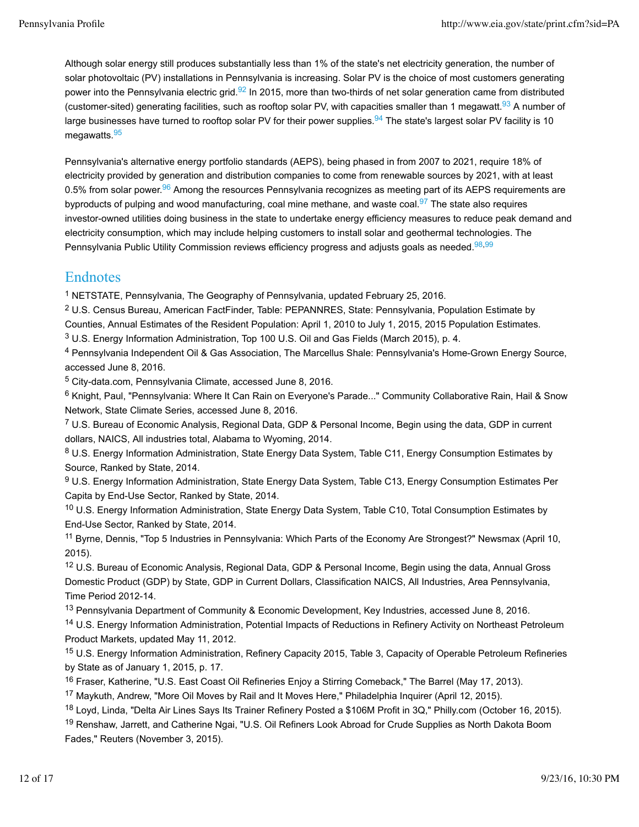Although solar energy still produces substantially less than 1% of the state's net electricity generation, the number of solar photovoltaic (PV) installations in Pennsylvania is increasing. Solar PV is the choice of most customers generating power into the Pennsylvania electric grid.<sup>92</sup> In 2015, more than two-thirds of net solar generation came from distributed (customer-sited) generating facilities, such as rooftop solar PV, with capacities smaller than 1 megawatt.<sup>93</sup> A number of large businesses have turned to rooftop solar PV for their power supplies.<sup>94</sup> The state's largest solar PV facility is 10 megawatts.<sup>95</sup>

Pennsylvania's alternative energy portfolio standards (AEPS), being phased in from 2007 to 2021, require 18% of electricity provided by generation and distribution companies to come from renewable sources by 2021, with at least 0.5% from solar power.<sup>96</sup> Among the resources Pennsylvania recognizes as meeting part of its AEPS requirements are byproducts of pulping and wood manufacturing, coal mine methane, and waste coal.<sup>97</sup> The state also requires investor-owned utilities doing business in the state to undertake energy efficiency measures to reduce peak demand and electricity consumption, which may include helping customers to install solar and geothermal technologies. The Pennsylvania Public Utility Commission reviews efficiency progress and adjusts goals as needed.<sup>98,99</sup>

## Endnotes

1 NETSTATE, Pennsylvania, The Geography of Pennsylvania, updated February 25, 2016.

2 U.S. Census Bureau, American FactFinder, Table: PEPANNRES, State: Pennsylvania, Population Estimate by Counties, Annual Estimates of the Resident Population: April 1, 2010 to July 1, 2015, 2015 Population Estimates. 3 U.S. Energy Information Administration, Top 100 U.S. Oil and Gas Fields (March 2015), p. 4.

4 Pennsylvania Independent Oil & Gas Association, The Marcellus Shale: Pennsylvania's Home-Grown Energy Source, accessed June 8, 2016.

5 City-data.com, Pennsylvania Climate, accessed June 8, 2016.

6 Knight, Paul, "Pennsylvania: Where It Can Rain on Everyone's Parade..." Community Collaborative Rain, Hail & Snow Network, State Climate Series, accessed June 8, 2016.

7 U.S. Bureau of Economic Analysis, Regional Data, GDP & Personal Income, Begin using the data, GDP in current dollars, NAICS, All industries total, Alabama to Wyoming, 2014.

8 U.S. Energy Information Administration, State Energy Data System, Table C11, Energy Consumption Estimates by Source, Ranked by State, 2014.

9 U.S. Energy Information Administration, State Energy Data System, Table C13, Energy Consumption Estimates Per Capita by End-Use Sector, Ranked by State, 2014.

<sup>10</sup> U.S. Energy Information Administration, State Energy Data System, Table C10, Total Consumption Estimates by End-Use Sector, Ranked by State, 2014.

<sup>11</sup> Byrne, Dennis, "Top 5 Industries in Pennsylvania: Which Parts of the Economy Are Strongest?" Newsmax (April 10, 2015).

12 U.S. Bureau of Economic Analysis, Regional Data, GDP & Personal Income, Begin using the data, Annual Gross Domestic Product (GDP) by State, GDP in Current Dollars, Classification NAICS, All Industries, Area Pennsylvania, Time Period 2012-14.

<sup>13</sup> Pennsylvania Department of Community & Economic Development, Key Industries, accessed June 8, 2016.

14 U.S. Energy Information Administration, Potential Impacts of Reductions in Refinery Activity on Northeast Petroleum Product Markets, updated May 11, 2012.

15 U.S. Energy Information Administration, Refinery Capacity 2015, Table 3, Capacity of Operable Petroleum Refineries by State as of January 1, 2015, p. 17.

<sup>16</sup> Fraser, Katherine, "U.S. East Coast Oil Refineries Enjoy a Stirring Comeback," The Barrel (May 17, 2013).

<sup>17</sup> Maykuth, Andrew, "More Oil Moves by Rail and It Moves Here," Philadelphia Inquirer (April 12, 2015).

<sup>18</sup> Loyd, Linda, "Delta Air Lines Says Its Trainer Refinery Posted a \$106M Profit in 3Q," Philly.com (October 16, 2015). <sup>19</sup> Renshaw, Jarrett, and Catherine Ngai, "U.S. Oil Refiners Look Abroad for Crude Supplies as North Dakota Boom Fades," Reuters (November 3, 2015).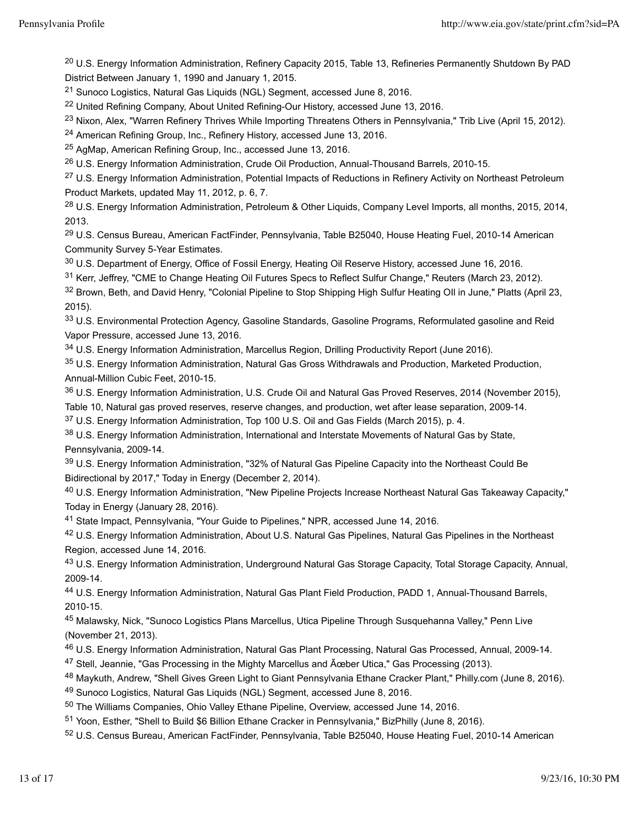<sup>20</sup> U.S. Energy Information Administration, Refinery Capacity 2015, Table 13, Refineries Permanently Shutdown By PAD District Between January 1, 1990 and January 1, 2015.

21 Sunoco Logistics, Natural Gas Liquids (NGL) Segment, accessed June 8, 2016.

<sup>22</sup> United Refining Company, About United Refining-Our History, accessed June 13, 2016.

<sup>23</sup> Nixon, Alex, "Warren Refinery Thrives While Importing Threatens Others in Pennsylvania," Trib Live (April 15, 2012).

24 American Refining Group, Inc., Refinery History, accessed June 13, 2016.

25 AgMap, American Refining Group, Inc., accessed June 13, 2016.

<sup>26</sup> U.S. Energy Information Administration, Crude Oil Production, Annual-Thousand Barrels, 2010-15.

<sup>27</sup> U.S. Energy Information Administration, Potential Impacts of Reductions in Refinery Activity on Northeast Petroleum Product Markets, updated May 11, 2012, p. 6, 7.

<sup>28</sup> U.S. Energy Information Administration, Petroleum & Other Liquids, Company Level Imports, all months, 2015, 2014, 2013.

29 U.S. Census Bureau, American FactFinder, Pennsylvania, Table B25040, House Heating Fuel, 2010-14 American Community Survey 5-Year Estimates.

30 U.S. Department of Energy, Office of Fossil Energy, Heating Oil Reserve History, accessed June 16, 2016.

31 Kerr, Jeffrey, "CME to Change Heating Oil Futures Specs to Reflect Sulfur Change," Reuters (March 23, 2012).

<sup>32</sup> Brown, Beth, and David Henry, "Colonial Pipeline to Stop Shipping High Sulfur Heating OII in June," Platts (April 23, 2015).

33 U.S. Environmental Protection Agency, Gasoline Standards, Gasoline Programs, Reformulated gasoline and Reid Vapor Pressure, accessed June 13, 2016.

34 U.S. Energy Information Administration, Marcellus Region, Drilling Productivity Report (June 2016).

35 U.S. Energy Information Administration, Natural Gas Gross Withdrawals and Production, Marketed Production, Annual-Million Cubic Feet, 2010-15.

36 U.S. Energy Information Administration, U.S. Crude Oil and Natural Gas Proved Reserves, 2014 (November 2015), Table 10, Natural gas proved reserves, reserve changes, and production, wet after lease separation, 2009-14.

37 U.S. Energy Information Administration, Top 100 U.S. Oil and Gas Fields (March 2015), p. 4.

38 U.S. Energy Information Administration, International and Interstate Movements of Natural Gas by State, Pennsylvania, 2009-14.

39 U.S. Energy Information Administration, "32% of Natural Gas Pipeline Capacity into the Northeast Could Be Bidirectional by 2017," Today in Energy (December 2, 2014).

40 U.S. Energy Information Administration, "New Pipeline Projects Increase Northeast Natural Gas Takeaway Capacity," Today in Energy (January 28, 2016).

41 State Impact, Pennsylvania, "Your Guide to Pipelines," NPR, accessed June 14, 2016.

42 U.S. Energy Information Administration, About U.S. Natural Gas Pipelines, Natural Gas Pipelines in the Northeast Region, accessed June 14, 2016.

43 U.S. Energy Information Administration, Underground Natural Gas Storage Capacity, Total Storage Capacity, Annual, 2009-14.

44 U.S. Energy Information Administration, Natural Gas Plant Field Production, PADD 1, Annual-Thousand Barrels, 2010-15.

45 Malawsky, Nick, "Sunoco Logistics Plans Marcellus, Utica Pipeline Through Susquehanna Valley," Penn Live (November 21, 2013).

46 U.S. Energy Information Administration, Natural Gas Plant Processing, Natural Gas Processed, Annual, 2009-14.

<sup>47</sup> Stell, Jeannie, "Gas Processing in the Mighty Marcellus and Aceber Utica," Gas Processing (2013).

48 Maykuth, Andrew, "Shell Gives Green Light to Giant Pennsylvania Ethane Cracker Plant," Philly.com (June 8, 2016).

49 Sunoco Logistics, Natural Gas Liquids (NGL) Segment, accessed June 8, 2016.

50 The Williams Companies, Ohio Valley Ethane Pipeline, Overview, accessed June 14, 2016.

51 Yoon, Esther, "Shell to Build \$6 Billion Ethane Cracker in Pennsylvania," BizPhilly (June 8, 2016).

52 U.S. Census Bureau, American FactFinder, Pennsylvania, Table B25040, House Heating Fuel, 2010-14 American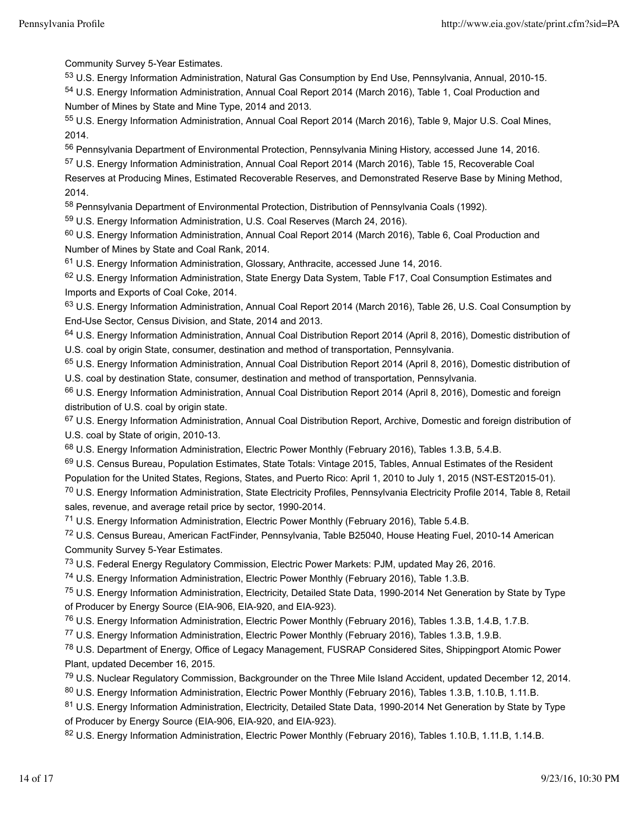Community Survey 5-Year Estimates.

53 U.S. Energy Information Administration, Natural Gas Consumption by End Use, Pennsylvania, Annual, 2010-15. 54 U.S. Energy Information Administration, Annual Coal Report 2014 (March 2016), Table 1, Coal Production and Number of Mines by State and Mine Type, 2014 and 2013.

55 U.S. Energy Information Administration, Annual Coal Report 2014 (March 2016), Table 9, Major U.S. Coal Mines, 2014.

56 Pennsylvania Department of Environmental Protection, Pennsylvania Mining History, accessed June 14, 2016.

57 U.S. Energy Information Administration, Annual Coal Report 2014 (March 2016), Table 15, Recoverable Coal Reserves at Producing Mines, Estimated Recoverable Reserves, and Demonstrated Reserve Base by Mining Method, 2014.

58 Pennsylvania Department of Environmental Protection, Distribution of Pennsylvania Coals (1992).

59 U.S. Energy Information Administration, U.S. Coal Reserves (March 24, 2016).

60 U.S. Energy Information Administration, Annual Coal Report 2014 (March 2016), Table 6, Coal Production and Number of Mines by State and Coal Rank, 2014.

61 U.S. Energy Information Administration, Glossary, Anthracite, accessed June 14, 2016.

62 U.S. Energy Information Administration, State Energy Data System, Table F17, Coal Consumption Estimates and Imports and Exports of Coal Coke, 2014.

63 U.S. Energy Information Administration, Annual Coal Report 2014 (March 2016), Table 26, U.S. Coal Consumption by End-Use Sector, Census Division, and State, 2014 and 2013.

64 U.S. Energy Information Administration, Annual Coal Distribution Report 2014 (April 8, 2016), Domestic distribution of U.S. coal by origin State, consumer, destination and method of transportation, Pennsylvania.

65 U.S. Energy Information Administration, Annual Coal Distribution Report 2014 (April 8, 2016), Domestic distribution of U.S. coal by destination State, consumer, destination and method of transportation, Pennsylvania.

66 U.S. Energy Information Administration, Annual Coal Distribution Report 2014 (April 8, 2016), Domestic and foreign distribution of U.S. coal by origin state.

67 U.S. Energy Information Administration, Annual Coal Distribution Report, Archive, Domestic and foreign distribution of U.S. coal by State of origin, 2010-13.

68 U.S. Energy Information Administration, Electric Power Monthly (February 2016), Tables 1.3.B, 5.4.B.

<sup>69</sup> U.S. Census Bureau, Population Estimates, State Totals: Vintage 2015, Tables, Annual Estimates of the Resident Population for the United States, Regions, States, and Puerto Rico: April 1, 2010 to July 1, 2015 (NST-EST2015-01).

70 U.S. Energy Information Administration, State Electricity Profiles, Pennsylvania Electricity Profile 2014, Table 8, Retail sales, revenue, and average retail price by sector, 1990-2014.

<sup>71</sup> U.S. Energy Information Administration, Electric Power Monthly (February 2016), Table 5.4.B.

72 U.S. Census Bureau, American FactFinder, Pennsylvania, Table B25040, House Heating Fuel, 2010-14 American Community Survey 5-Year Estimates.

<sup>73</sup> U.S. Federal Energy Regulatory Commission, Electric Power Markets: PJM, updated May 26, 2016.

74 U.S. Energy Information Administration, Electric Power Monthly (February 2016), Table 1.3.B.

75 U.S. Energy Information Administration, Electricity, Detailed State Data, 1990-2014 Net Generation by State by Type of Producer by Energy Source (EIA-906, EIA-920, and EIA-923).

76 U.S. Energy Information Administration, Electric Power Monthly (February 2016), Tables 1.3.B, 1.4.B, 1.7.B.

77 U.S. Energy Information Administration, Electric Power Monthly (February 2016), Tables 1.3.B, 1.9.B.

78 U.S. Department of Energy, Office of Legacy Management, FUSRAP Considered Sites, Shippingport Atomic Power Plant, updated December 16, 2015.

79 U.S. Nuclear Regulatory Commission, Backgrounder on the Three Mile Island Accident, updated December 12, 2014.

80 U.S. Energy Information Administration, Electric Power Monthly (February 2016), Tables 1.3.B, 1.10.B, 1.11.B.

81 U.S. Energy Information Administration, Electricity, Detailed State Data, 1990-2014 Net Generation by State by Type of Producer by Energy Source (EIA-906, EIA-920, and EIA-923).

82 U.S. Energy Information Administration, Electric Power Monthly (February 2016), Tables 1.10.B, 1.11.B, 1.14.B.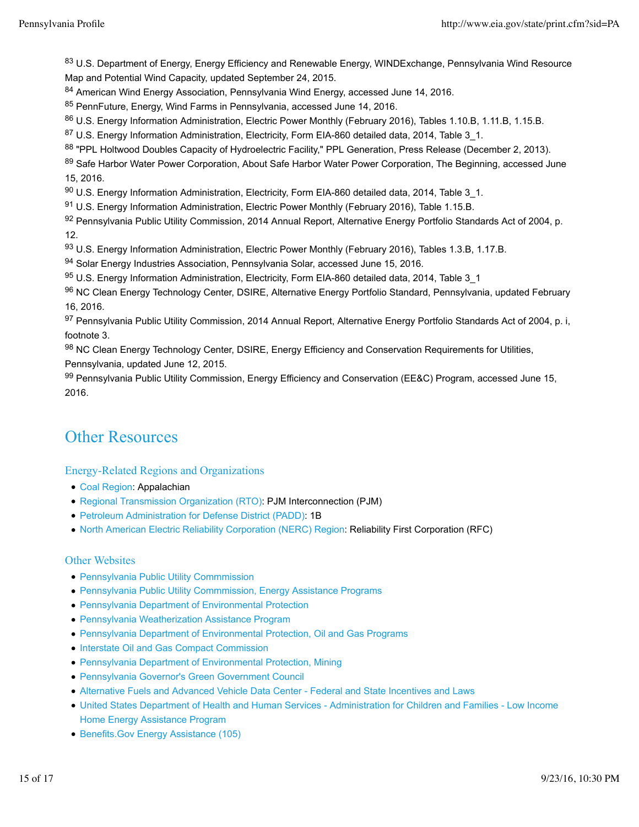83 U.S. Department of Energy, Energy Efficiency and Renewable Energy, WINDExchange, Pennsylvania Wind Resource Map and Potential Wind Capacity, updated September 24, 2015.

84 American Wind Energy Association, Pennsylvania Wind Energy, accessed June 14, 2016.

85 PennFuture, Energy, Wind Farms in Pennsylvania, accessed June 14, 2016.

86 U.S. Energy Information Administration, Electric Power Monthly (February 2016), Tables 1.10.B, 1.11.B, 1.15.B.

87 U.S. Energy Information Administration, Electricity, Form EIA-860 detailed data, 2014, Table 3\_1.

88 "PPL Holtwood Doubles Capacity of Hydroelectric Facility," PPL Generation, Press Release (December 2, 2013).

89 Safe Harbor Water Power Corporation, About Safe Harbor Water Power Corporation, The Beginning, accessed June 15, 2016.

90 U.S. Energy Information Administration, Electricity, Form EIA-860 detailed data, 2014, Table 3\_1.

91 U.S. Energy Information Administration, Electric Power Monthly (February 2016), Table 1.15.B.

92 Pennsylvania Public Utility Commission, 2014 Annual Report, Alternative Energy Portfolio Standards Act of 2004, p. 12.

93 U.S. Energy Information Administration, Electric Power Monthly (February 2016), Tables 1.3.B, 1.17.B.

94 Solar Energy Industries Association, Pennsylvania Solar, accessed June 15, 2016.

95 U.S. Energy Information Administration, Electricity, Form EIA-860 detailed data, 2014, Table 3\_1

96 NC Clean Energy Technology Center, DSIRE, Alternative Energy Portfolio Standard, Pennsylvania, updated February 16, 2016.

97 Pennsylvania Public Utility Commission, 2014 Annual Report, Alternative Energy Portfolio Standards Act of 2004, p. i, footnote 3.

98 NC Clean Energy Technology Center, DSIRE, Energy Efficiency and Conservation Requirements for Utilities, Pennsylvania, updated June 12, 2015.

99 Pennsylvania Public Utility Commission, Energy Efficiency and Conservation (EE&C) Program, accessed June 15, 2016.

# Other Resources

### Energy-Related Regions and Organizations

- Coal Region: Appalachian
- Regional Transmission Organization (RTO): PJM Interconnection (PJM)
- Petroleum Administration for Defense District (PADD): 1B
- North American Electric Reliability Corporation (NERC) Region: Reliability First Corporation (RFC)

#### Other Websites

- Pennsylvania Public Utility Commmission
- Pennsylvania Public Utility Commmission, Energy Assistance Programs
- Pennsylvania Department of Environmental Protection
- Pennsylvania Weatherization Assistance Program
- Pennsylvania Department of Environmental Protection, Oil and Gas Programs
- **Interstate Oil and Gas Compact Commission**
- Pennsylvania Department of Environmental Protection, Mining
- Pennsylvania Governor's Green Government Council
- Alternative Fuels and Advanced Vehicle Data Center Federal and State Incentives and Laws
- United States Department of Health and Human Services Administration for Children and Families Low Income Home Energy Assistance Program
- Benefits.Gov Energy Assistance (105)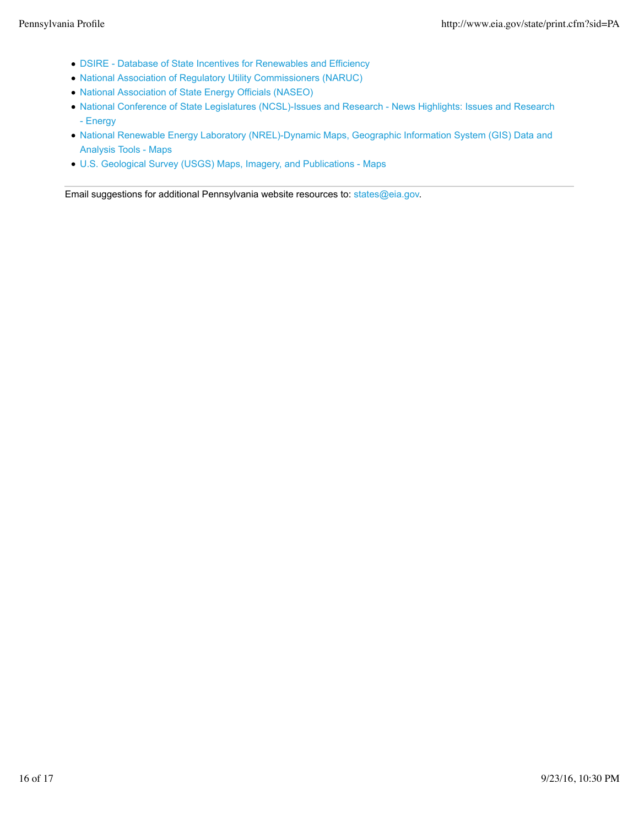- DSIRE Database of State Incentives for Renewables and Efficiency
- National Association of Regulatory Utility Commissioners (NARUC)
- National Association of State Energy Officials (NASEO)
- National Conference of State Legislatures (NCSL)-Issues and Research News Highlights: Issues and Research - Energy
- National Renewable Energy Laboratory (NREL)-Dynamic Maps, Geographic Information System (GIS) Data and Analysis Tools - Maps
- U.S. Geological Survey (USGS) Maps, Imagery, and Publications Maps

Email suggestions for additional Pennsylvania website resources to: states@eia.gov.